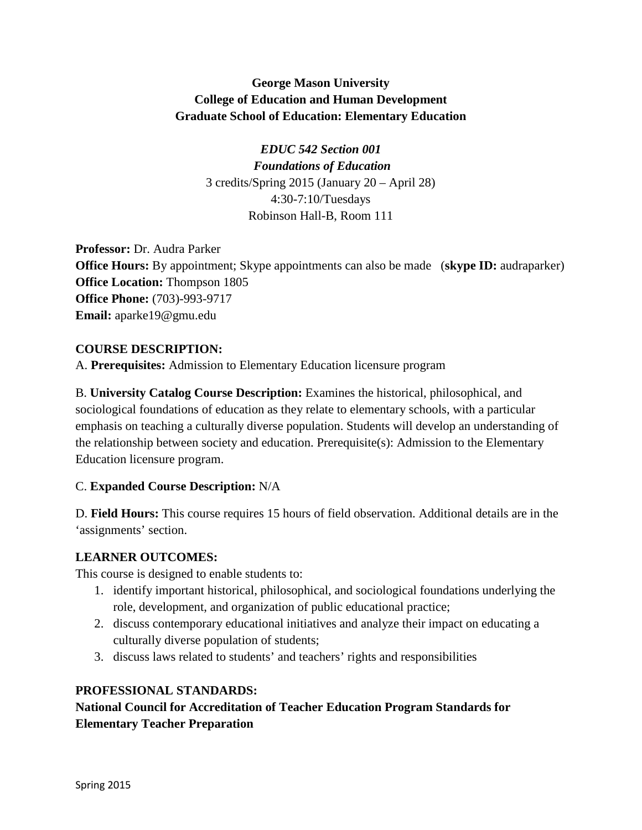## **George Mason University College of Education and Human Development Graduate School of Education: Elementary Education**

*EDUC 542 Section 001 Foundations of Education* 3 credits/Spring 2015 (January 20 – April 28) 4:30-7:10/Tuesdays Robinson Hall-B, Room 111

**Professor:** Dr. Audra Parker **Office Hours:** By appointment; Skype appointments can also be made (**skype ID:** audraparker) **Office Location:** Thompson 1805 **Office Phone:** (703)-993-9717 **Email:** aparke19@gmu.edu

## **COURSE DESCRIPTION:**

A. **Prerequisites:** Admission to Elementary Education licensure program

B. **University Catalog Course Description:** Examines the historical, philosophical, and sociological foundations of education as they relate to elementary schools, with a particular emphasis on teaching a culturally diverse population. Students will develop an understanding of the relationship between society and education. Prerequisite(s): Admission to the Elementary Education licensure program.

## C. **Expanded Course Description:** N/A

D. **Field Hours:** This course requires 15 hours of field observation. Additional details are in the 'assignments' section.

## **LEARNER OUTCOMES:**

This course is designed to enable students to:

- 1. identify important historical, philosophical, and sociological foundations underlying the role, development, and organization of public educational practice;
- 2. discuss contemporary educational initiatives and analyze their impact on educating a culturally diverse population of students;
- 3. discuss laws related to students' and teachers' rights and responsibilities

## **PROFESSIONAL STANDARDS:**

## **National Council for Accreditation of Teacher Education Program Standards for Elementary Teacher Preparation**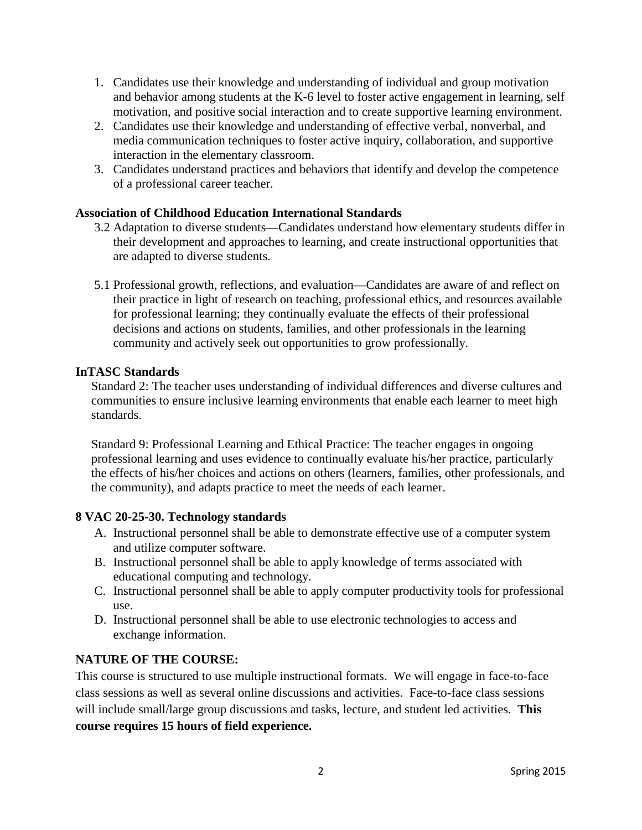- 1. Candidates use their knowledge and understanding of individual and group motivation and behavior among students at the K-6 level to foster active engagement in learning, self motivation, and positive social interaction and to create supportive learning environment.
- 2. Candidates use their knowledge and understanding of effective verbal, nonverbal, and media communication techniques to foster active inquiry, collaboration, and supportive interaction in the elementary classroom.
- 3. Candidates understand practices and behaviors that identify and develop the competence of a professional career teacher.

## **Association of Childhood Education International Standards**

- 3.2 Adaptation to diverse students—Candidates understand how elementary students differ in their development and approaches to learning, and create instructional opportunities that are adapted to diverse students.
- 5.1 Professional growth, reflections, and evaluation—Candidates are aware of and reflect on their practice in light of research on teaching, professional ethics, and resources available for professional learning; they continually evaluate the effects of their professional decisions and actions on students, families, and other professionals in the learning community and actively seek out opportunities to grow professionally.

### **InTASC Standards**

Standard 2: The teacher uses understanding of individual differences and diverse cultures and communities to ensure inclusive learning environments that enable each learner to meet high standards.

Standard 9: Professional Learning and Ethical Practice: The teacher engages in ongoing professional learning and uses evidence to continually evaluate his/her practice, particularly the effects of his/her choices and actions on others (learners, families, other professionals, and the community), and adapts practice to meet the needs of each learner.

### **8 VAC 20-25-30. Technology standards**

- A. Instructional personnel shall be able to demonstrate effective use of a computer system and utilize computer software.
- B. Instructional personnel shall be able to apply knowledge of terms associated with educational computing and technology.
- C. Instructional personnel shall be able to apply computer productivity tools for professional use.
- D. Instructional personnel shall be able to use electronic technologies to access and exchange information.

### **NATURE OF THE COURSE:**

This course is structured to use multiple instructional formats. We will engage in face-to-face class sessions as well as several online discussions and activities. Face-to-face class sessions will include small/large group discussions and tasks, lecture, and student led activities. **This course requires 15 hours of field experience.**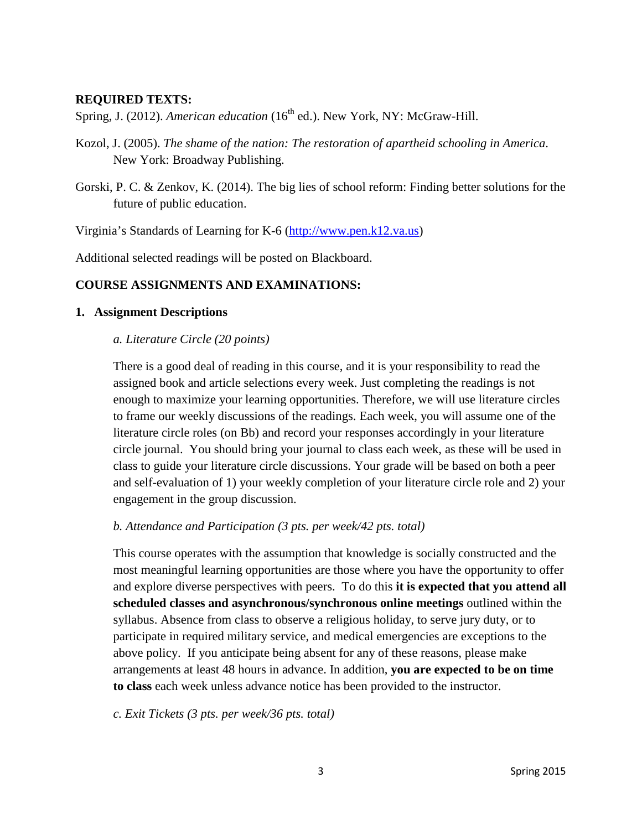### **REQUIRED TEXTS:**

Spring, J. (2012). *American education* (16<sup>th</sup> ed.). New York, NY: McGraw-Hill.

- Kozol, J. (2005). *The shame of the nation: The restoration of apartheid schooling in America*. New York: Broadway Publishing.
- Gorski, P. C. & Zenkov, K. (2014). The big lies of school reform: Finding better solutions for the future of public education.

Virginia's Standards of Learning for K-6 [\(http://www.pen.k12.va.us\)](http://www.pen.k12.va.us/)

Additional selected readings will be posted on Blackboard.

### **COURSE ASSIGNMENTS AND EXAMINATIONS:**

### **1. Assignment Descriptions**

### *a. Literature Circle (20 points)*

There is a good deal of reading in this course, and it is your responsibility to read the assigned book and article selections every week. Just completing the readings is not enough to maximize your learning opportunities. Therefore, we will use literature circles to frame our weekly discussions of the readings. Each week, you will assume one of the literature circle roles (on Bb) and record your responses accordingly in your literature circle journal. You should bring your journal to class each week, as these will be used in class to guide your literature circle discussions. Your grade will be based on both a peer and self-evaluation of 1) your weekly completion of your literature circle role and 2) your engagement in the group discussion.

#### *b. Attendance and Participation (3 pts. per week/42 pts. total)*

This course operates with the assumption that knowledge is socially constructed and the most meaningful learning opportunities are those where you have the opportunity to offer and explore diverse perspectives with peers. To do this **it is expected that you attend all scheduled classes and asynchronous/synchronous online meetings** outlined within the syllabus. Absence from class to observe a religious holiday, to serve jury duty, or to participate in required military service, and medical emergencies are exceptions to the above policy. If you anticipate being absent for any of these reasons, please make arrangements at least 48 hours in advance. In addition, **you are expected to be on time to class** each week unless advance notice has been provided to the instructor.

*c. Exit Tickets (3 pts. per week/36 pts. total)*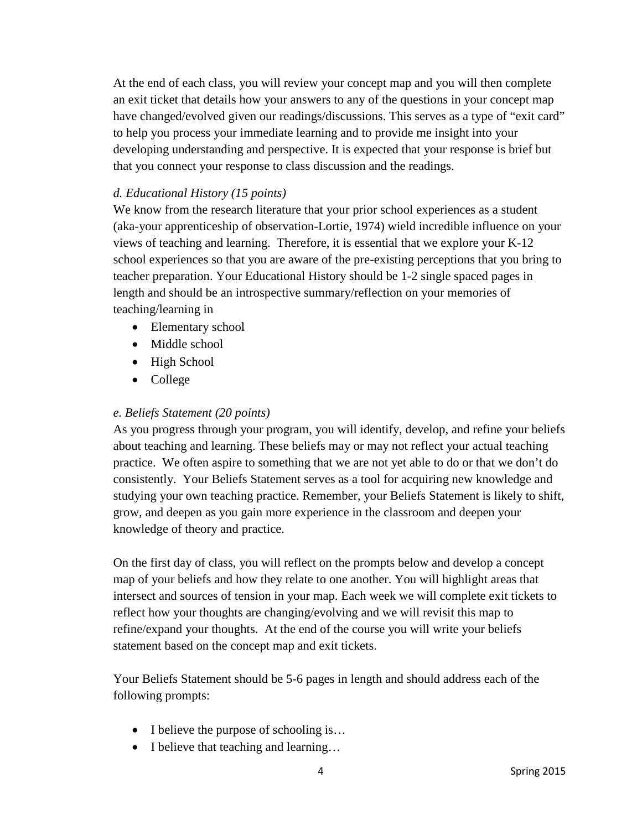At the end of each class, you will review your concept map and you will then complete an exit ticket that details how your answers to any of the questions in your concept map have changed/evolved given our readings/discussions. This serves as a type of "exit card" to help you process your immediate learning and to provide me insight into your developing understanding and perspective. It is expected that your response is brief but that you connect your response to class discussion and the readings.

## *d. Educational History (15 points)*

We know from the research literature that your prior school experiences as a student (aka-your apprenticeship of observation-Lortie, 1974) wield incredible influence on your views of teaching and learning. Therefore, it is essential that we explore your K-12 school experiences so that you are aware of the pre-existing perceptions that you bring to teacher preparation. Your Educational History should be 1-2 single spaced pages in length and should be an introspective summary/reflection on your memories of teaching/learning in

- Elementary school
- Middle school
- High School
- College

## *e. Beliefs Statement (20 points)*

As you progress through your program, you will identify, develop, and refine your beliefs about teaching and learning. These beliefs may or may not reflect your actual teaching practice. We often aspire to something that we are not yet able to do or that we don't do consistently. Your Beliefs Statement serves as a tool for acquiring new knowledge and studying your own teaching practice. Remember, your Beliefs Statement is likely to shift, grow, and deepen as you gain more experience in the classroom and deepen your knowledge of theory and practice.

On the first day of class, you will reflect on the prompts below and develop a concept map of your beliefs and how they relate to one another. You will highlight areas that intersect and sources of tension in your map. Each week we will complete exit tickets to reflect how your thoughts are changing/evolving and we will revisit this map to refine/expand your thoughts. At the end of the course you will write your beliefs statement based on the concept map and exit tickets.

Your Beliefs Statement should be 5-6 pages in length and should address each of the following prompts:

- I believe the purpose of schooling is...
- I believe that teaching and learning...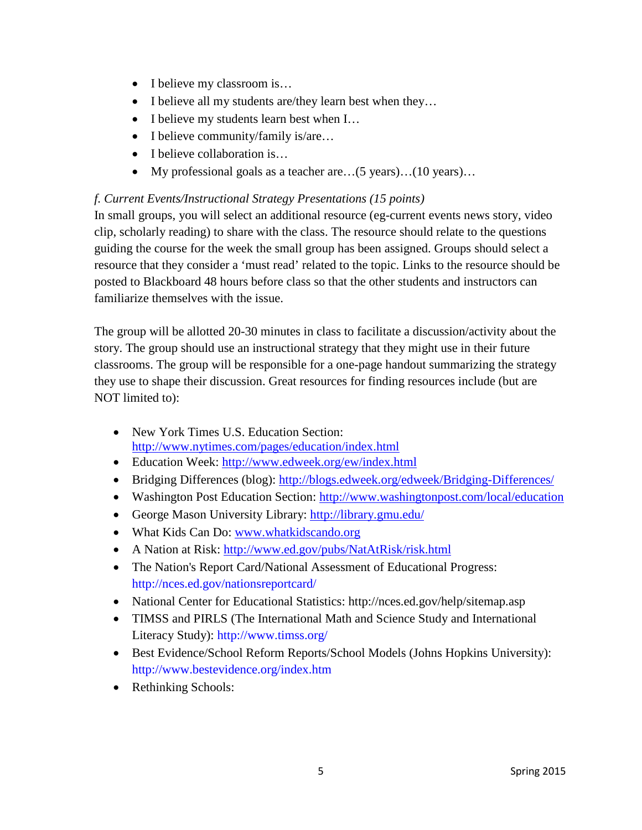- I believe my classroom is...
- I believe all my students are/they learn best when they...
- I believe my students learn best when I...
- I believe community/family is/are...
- I believe collaboration is...
- My professional goals as a teacher are...(5 years)...(10 years)...

## *f. Current Events/Instructional Strategy Presentations (15 points)*

In small groups, you will select an additional resource (eg-current events news story, video clip, scholarly reading) to share with the class. The resource should relate to the questions guiding the course for the week the small group has been assigned. Groups should select a resource that they consider a 'must read' related to the topic. Links to the resource should be posted to Blackboard 48 hours before class so that the other students and instructors can familiarize themselves with the issue.

The group will be allotted 20-30 minutes in class to facilitate a discussion/activity about the story. The group should use an instructional strategy that they might use in their future classrooms. The group will be responsible for a one-page handout summarizing the strategy they use to shape their discussion. Great resources for finding resources include (but are NOT limited to):

- New York Times U.S. Education Section: <http://www.nytimes.com/pages/education/index.html>
- Education Week:<http://www.edweek.org/ew/index.html>
- Bridging Differences (blog):<http://blogs.edweek.org/edweek/Bridging-Differences/>
- Washington Post Education Section:<http://www.washingtonpost.com/local/education>
- George Mason University Library:<http://library.gmu.edu/>
- What Kids Can Do: [www.whatkidscando.org](http://www.whatkidscando.org/)
- A Nation at Risk:<http://www.ed.gov/pubs/NatAtRisk/risk.html>
- The Nation's Report Card/National Assessment of Educational Progress: http://nces.ed.gov/nationsreportcard/
- National Center for Educational Statistics: http://nces.ed.gov/help/sitemap.asp
- TIMSS and PIRLS (The International Math and Science Study and International Literacy Study): http://www.timss.org/
- Best Evidence/School Reform Reports/School Models (Johns Hopkins University): http://www.bestevidence.org/index.htm
- Rethinking Schools: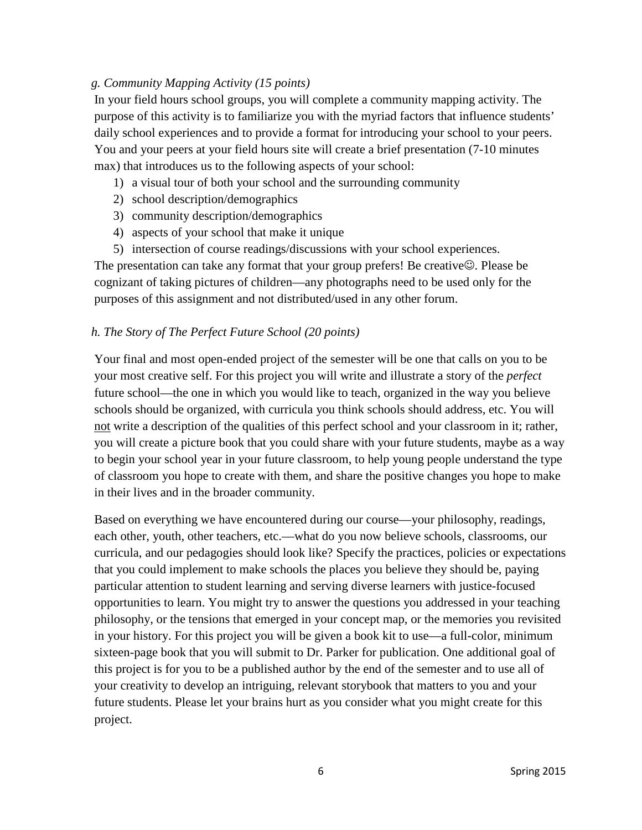## *g. Community Mapping Activity (15 points)*

In your field hours school groups, you will complete a community mapping activity. The purpose of this activity is to familiarize you with the myriad factors that influence students' daily school experiences and to provide a format for introducing your school to your peers. You and your peers at your field hours site will create a brief presentation (7-10 minutes max) that introduces us to the following aspects of your school:

- 1) a visual tour of both your school and the surrounding community
- 2) school description/demographics
- 3) community description/demographics
- 4) aspects of your school that make it unique
- 5) intersection of course readings/discussions with your school experiences.

The presentation can take any format that your group prefers! Be creative $\odot$ . Please be cognizant of taking pictures of children—any photographs need to be used only for the purposes of this assignment and not distributed/used in any other forum.

### *h. The Story of The Perfect Future School (20 points)*

Your final and most open-ended project of the semester will be one that calls on you to be your most creative self. For this project you will write and illustrate a story of the *perfect*  future school—the one in which you would like to teach, organized in the way you believe schools should be organized, with curricula you think schools should address, etc. You will not write a description of the qualities of this perfect school and your classroom in it; rather, you will create a picture book that you could share with your future students, maybe as a way to begin your school year in your future classroom, to help young people understand the type of classroom you hope to create with them, and share the positive changes you hope to make in their lives and in the broader community.

Based on everything we have encountered during our course—your philosophy, readings, each other, youth, other teachers, etc.—what do you now believe schools, classrooms, our curricula, and our pedagogies should look like? Specify the practices, policies or expectations that you could implement to make schools the places you believe they should be, paying particular attention to student learning and serving diverse learners with justice-focused opportunities to learn. You might try to answer the questions you addressed in your teaching philosophy, or the tensions that emerged in your concept map, or the memories you revisited in your history. For this project you will be given a book kit to use—a full-color, minimum sixteen-page book that you will submit to Dr. Parker for publication. One additional goal of this project is for you to be a published author by the end of the semester and to use all of your creativity to develop an intriguing, relevant storybook that matters to you and your future students. Please let your brains hurt as you consider what you might create for this project.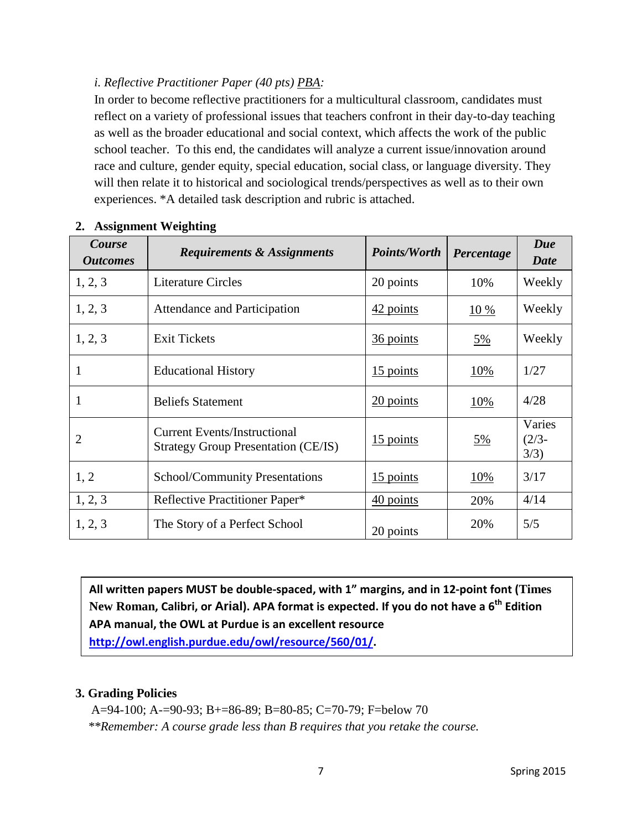## *i. Reflective Practitioner Paper (40 pts) PBA:*

In order to become reflective practitioners for a multicultural classroom, candidates must reflect on a variety of professional issues that teachers confront in their day-to-day teaching as well as the broader educational and social context, which affects the work of the public school teacher. To this end, the candidates will analyze a current issue/innovation around race and culture, gender equity, special education, social class, or language diversity. They will then relate it to historical and sociological trends/perspectives as well as to their own experiences. \*A detailed task description and rubric is attached.

| Course<br><i><b>Outcomes</b></i> | <b>Requirements &amp; Assignments</b>                                             | <i>Points/Worth</i>           | Percentage      | Due<br>Date                |
|----------------------------------|-----------------------------------------------------------------------------------|-------------------------------|-----------------|----------------------------|
| 1, 2, 3                          | <b>Literature Circles</b>                                                         | 20 points                     | 10%             | Weekly                     |
| 1, 2, 3                          | Attendance and Participation                                                      | $42$ points                   | 10%             | Weekly                     |
| 1, 2, 3                          | <b>Exit Tickets</b>                                                               | 36 points                     | $\frac{5\%}{2}$ | Weekly                     |
|                                  | <b>Educational History</b>                                                        | $15$ points                   | <u>10%</u>      | 1/27                       |
| 1                                | <b>Beliefs Statement</b>                                                          | 20 points                     | 10%             | 4/28                       |
| $\overline{2}$                   | <b>Current Events/Instructional</b><br><b>Strategy Group Presentation (CE/IS)</b> | $\frac{15 \text{ points}}{2}$ | <u>5%</u>       | Varies<br>$(2/3 -$<br>3/3) |
| 1, 2                             | School/Community Presentations                                                    | $15$ points                   | <u>10%</u>      | 3/17                       |
| 1, 2, 3                          | Reflective Practitioner Paper*                                                    | 40 points                     | 20%             | 4/14                       |
| 1, 2, 3                          | The Story of a Perfect School                                                     | 20 points                     | 20%             | 5/5                        |

### **2. Assignment Weighting**

**All written papers MUST be double-spaced, with 1" margins, and in 12-point font (Times New Roman, Calibri, or Arial). APA format is expected. If you do not have a 6th Edition APA manual, the OWL at Purdue is an excellent resource [http://owl.english.purdue.edu/owl/resource/560/01/.](http://owl.english.purdue.edu/owl/resource/560/01/)**

### **3. Grading Policies**

 A=94-100; A-=90-93; B+=86-89; B=80-85; C=70-79; F=below 70  *\*\*Remember: A course grade less than B requires that you retake the course.*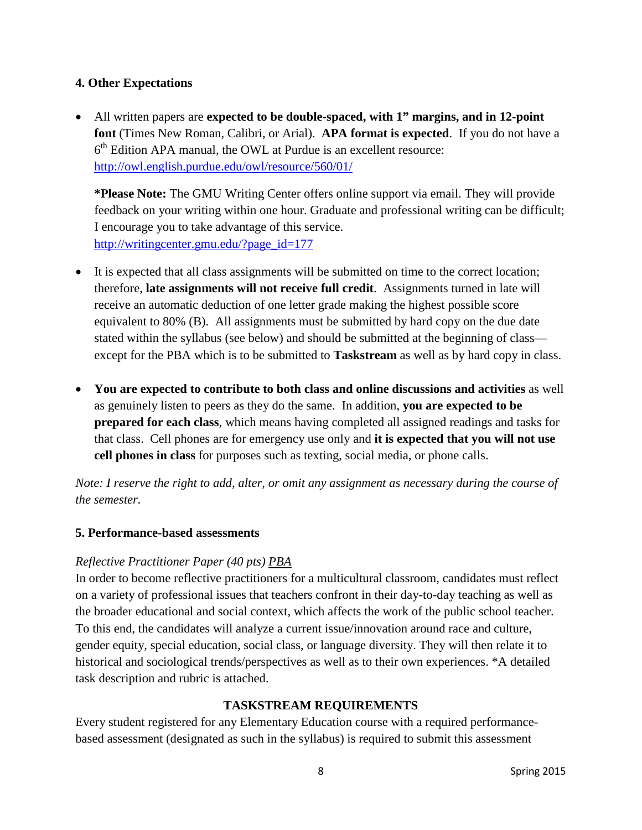## **4. Other Expectations**

• All written papers are **expected to be double-spaced, with 1" margins, and in 12-point font** (Times New Roman, Calibri, or Arial). **APA format is expected**. If you do not have a  $6<sup>th</sup>$  Edition APA manual, the OWL at Purdue is an excellent resource: <http://owl.english.purdue.edu/owl/resource/560/01/>

**\*Please Note:** The GMU Writing Center offers online support via email. They will provide feedback on your writing within one hour. Graduate and professional writing can be difficult; I encourage you to take advantage of this service. [http://writingcenter.gmu.edu/?page\\_id=177](http://writingcenter.gmu.edu/?page_id=177)

- It is expected that all class assignments will be submitted on time to the correct location; therefore, **late assignments will not receive full credit**. Assignments turned in late will receive an automatic deduction of one letter grade making the highest possible score equivalent to 80% (B). All assignments must be submitted by hard copy on the due date stated within the syllabus (see below) and should be submitted at the beginning of class except for the PBA which is to be submitted to **Taskstream** as well as by hard copy in class.
- **You are expected to contribute to both class and online discussions and activities** as well as genuinely listen to peers as they do the same. In addition, **you are expected to be prepared for each class**, which means having completed all assigned readings and tasks for that class. Cell phones are for emergency use only and **it is expected that you will not use cell phones in class** for purposes such as texting, social media, or phone calls.

*Note: I reserve the right to add, alter, or omit any assignment as necessary during the course of the semester.*

## **5. Performance-based assessments**

## *Reflective Practitioner Paper (40 pts) PBA*

In order to become reflective practitioners for a multicultural classroom, candidates must reflect on a variety of professional issues that teachers confront in their day-to-day teaching as well as the broader educational and social context, which affects the work of the public school teacher. To this end, the candidates will analyze a current issue/innovation around race and culture, gender equity, special education, social class, or language diversity. They will then relate it to historical and sociological trends/perspectives as well as to their own experiences. \*A detailed task description and rubric is attached.

## **TASKSTREAM REQUIREMENTS**

Every student registered for any Elementary Education course with a required performancebased assessment (designated as such in the syllabus) is required to submit this assessment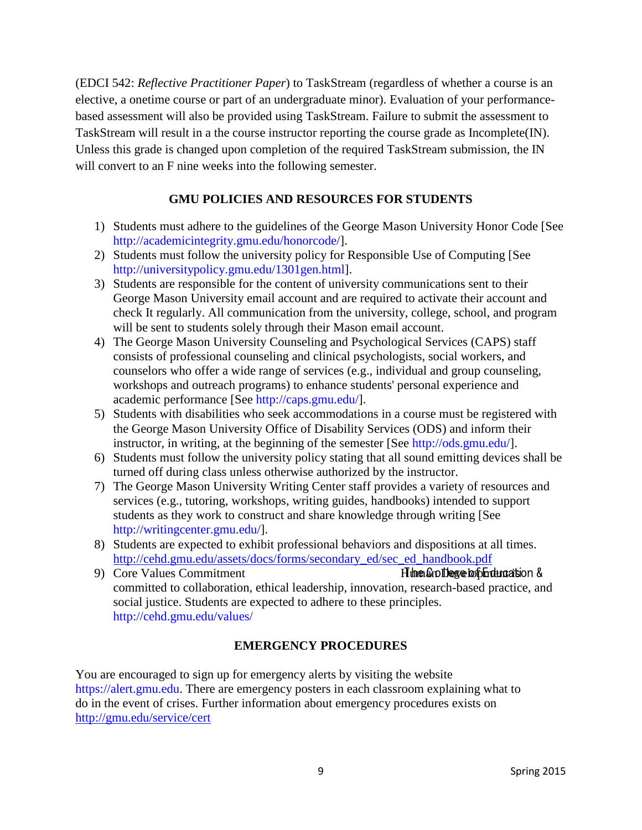(EDCI 542: *Reflective Practitioner Paper*) to TaskStream (regardless of whether a course is an elective, a onetime course or part of an undergraduate minor). Evaluation of your performancebased assessment will also be provided using TaskStream. Failure to submit the assessment to TaskStream will result in a the course instructor reporting the course grade as Incomplete(IN). Unless this grade is changed upon completion of the required TaskStream submission, the IN will convert to an F nine weeks into the following semester.

## **GMU POLICIES AND RESOURCES FOR STUDENTS**

- 1) Students must adhere to the guidelines of the George Mason University Honor Code [See [http://academicintegrity.gmu.edu/honorcode/\]](http://academicintegrity.gmu.edu/honorcode/).
- 2) Students must follow the university policy for Responsible Use of Computing [See [http://universitypolicy.gmu.edu/1301gen.html\]](http://universitypolicy.gmu.edu/1301gen.html).
- 3) Students are responsible for the content of university communications sent to their George Mason University email account and are required to activate their account and check It regularly. All communication from the university, college, school, and program will be sent to students solely through their Mason email account.
- 4) The George Mason University Counseling and Psychological Services (CAPS) staff consists of professional counseling and clinical psychologists, social workers, and counselors who offer a wide range of services (e.g., individual and group counseling, workshops and outreach programs) to enhance students' personal experience and academic performance [See [http://caps.gmu.edu/\]](http://caps.gmu.edu/).
- 5) Students with disabilities who seek accommodations in a course must be registered with the George Mason University Office of Disability Services (ODS) and inform their instructor, in writing, at the beginning of the semester [See [http://ods.gmu.edu/\]](http://ods.gmu.edu/).
- 6) Students must follow the university policy stating that all sound emitting devices shall be turned off during class unless otherwise authorized by the instructor.
- 7) The George Mason University Writing Center staff provides a variety of resources and services (e.g., tutoring, workshops, writing guides, handbooks) intended to support students as they work to construct and share knowledge through writing [See [http://writingcenter.gmu.edu/\]](http://writingcenter.gmu.edu/).
- 8) Students are expected to exhibit professional behaviors and dispositions at all times. [http://cehd.gmu.edu/assets/docs/forms/secondary\\_ed/sec\\_ed\\_handbook.pdf](http://cehd.gmu.edu/assets/docs/forms/secondary_ed/sec_ed_handbook.pdf)
- 9) Core Values Commitment Human Human Development is T he C or E ducation & committed to collaboration, ethical leadership, innovation, research-based practice, and social justice. Students are expected to adhere to these principles. <http://cehd.gmu.edu/values/>

## **EMERGENCY PROCEDURES**

You are encouraged to sign up for emergency alerts by visiting the website [https://alert.gmu.edu.](https://alert.gmu.edu/) There are emergency posters in each classroom explaining what to do in the event of crises. Further information about emergency procedures exists on <http://gmu.edu/service/cert>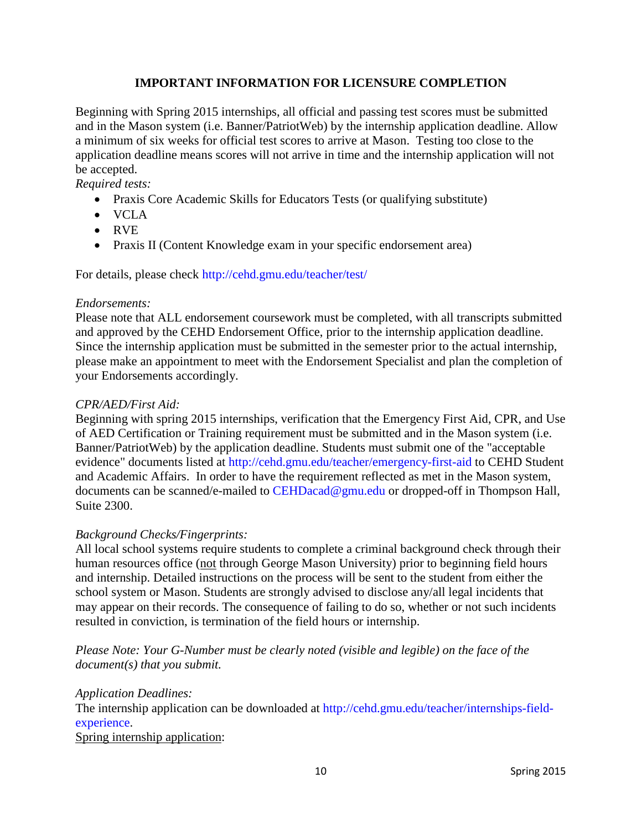## **IMPORTANT INFORMATION FOR LICENSURE COMPLETION**

Beginning with Spring 2015 internships, all official and passing test scores must be submitted and in the Mason system (i.e. Banner/PatriotWeb) by the internship application deadline. Allow a minimum of six weeks for official test scores to arrive at Mason. Testing too close to the application deadline means scores will not arrive in time and the internship application will not be accepted.

*Required tests:*

- Praxis Core Academic Skills for Educators Tests (or qualifying substitute)
- VCLA
- RVE
- Praxis II (Content Knowledge exam in your specific endorsement area)

For details, please check<http://cehd.gmu.edu/teacher/test/>

### *Endorsements:*

Please note that ALL endorsement coursework must be completed, with all transcripts submitted and approved by the CEHD Endorsement Office, prior to the internship application deadline. Since the internship application must be submitted in the semester prior to the actual internship, please make an appointment to meet with the Endorsement Specialist and plan the completion of your Endorsements accordingly.

### *CPR/AED/First Aid:*

Beginning with spring 2015 internships, verification that the Emergency First Aid, CPR, and Use of AED Certification or Training requirement must be submitted and in the Mason system (i.e. Banner/PatriotWeb) by the application deadline. Students must submit one of the "acceptable evidence" documents listed at<http://cehd.gmu.edu/teacher/emergency-first-aid> to CEHD Student and Academic Affairs. In order to have the requirement reflected as met in the Mason system, documents can be scanned/e-mailed to [CEHDacad@gmu.edu](mailto:cehdacad@gmu.edu) or dropped-off in Thompson Hall, Suite 2300.

### *Background Checks/Fingerprints:*

All local school systems require students to complete a criminal background check through their human resources office (not through George Mason University) prior to beginning field hours and internship. Detailed instructions on the process will be sent to the student from either the school system or Mason. Students are strongly advised to disclose any/all legal incidents that may appear on their records. The consequence of failing to do so, whether or not such incidents resulted in conviction, is termination of the field hours or internship.

*Please Note: Your G-Number must be clearly noted (visible and legible) on the face of the document(s) that you submit.*

*Application Deadlines:* The internship application can be downloaded at [http://cehd.gmu.edu/teacher/internships-field](http://cehd.gmu.edu/teacher/internships-field-experience)[experience.](http://cehd.gmu.edu/teacher/internships-field-experience)

Spring internship application: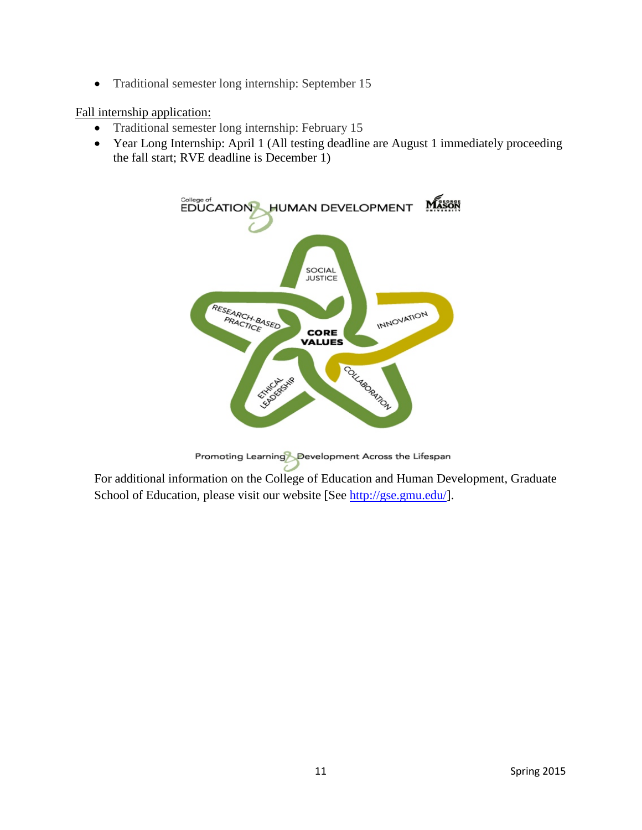• Traditional semester long internship: September 15

### Fall internship application:

- Traditional semester long internship: February 15
- Year Long Internship: April 1 (All testing deadline are August 1 immediately proceeding the fall start; RVE deadline is December 1)



Promoting Learning Development Across the Lifespan

For additional information on the College of Education and Human Development, Graduate School of Education, please visit our website [See [http://gse.gmu.edu/\]](http://gse.gmu.edu/).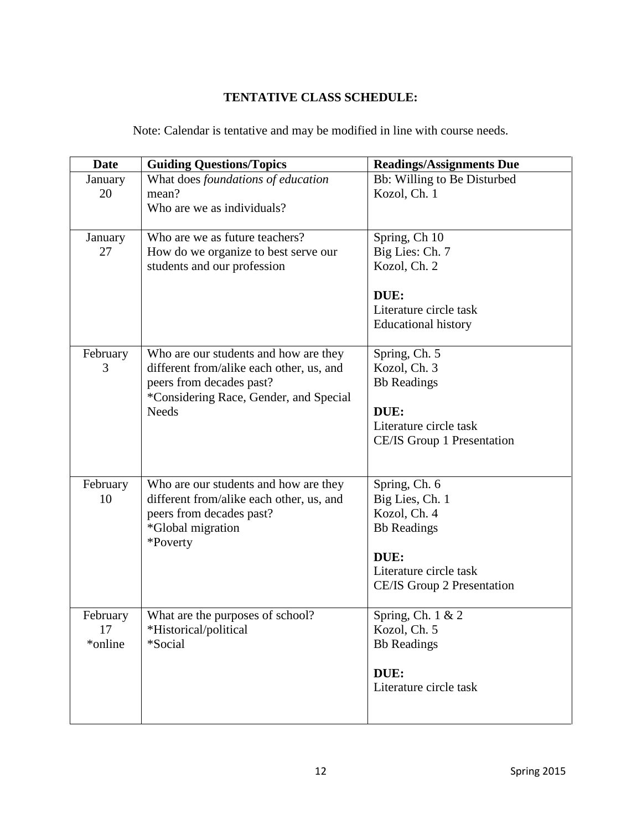# **TENTATIVE CLASS SCHEDULE:**

|  |  |  |  |  | Note: Calendar is tentative and may be modified in line with course needs. |  |  |  |  |  |
|--|--|--|--|--|----------------------------------------------------------------------------|--|--|--|--|--|
|--|--|--|--|--|----------------------------------------------------------------------------|--|--|--|--|--|

| Date                      | <b>Guiding Questions/Topics</b>                                                                                                                                         | <b>Readings/Assignments Due</b>                                                                                                        |
|---------------------------|-------------------------------------------------------------------------------------------------------------------------------------------------------------------------|----------------------------------------------------------------------------------------------------------------------------------------|
| January<br>20             | What does foundations of education<br>mean?<br>Who are we as individuals?                                                                                               | Bb: Willing to Be Disturbed<br>Kozol, Ch. 1                                                                                            |
| January<br>27             | Who are we as future teachers?<br>How do we organize to best serve our<br>students and our profession                                                                   | Spring, Ch 10<br>Big Lies: Ch. 7<br>Kozol, Ch. 2<br>DUE:<br>Literature circle task<br><b>Educational history</b>                       |
| February<br>3             | Who are our students and how are they<br>different from/alike each other, us, and<br>peers from decades past?<br>*Considering Race, Gender, and Special<br><b>Needs</b> | Spring, Ch. 5<br>Kozol, Ch. 3<br><b>Bb</b> Readings<br>DUE:<br>Literature circle task<br>CE/IS Group 1 Presentation                    |
| February<br>10            | Who are our students and how are they<br>different from/alike each other, us, and<br>peers from decades past?<br>*Global migration<br>*Poverty                          | Spring, Ch. 6<br>Big Lies, Ch. 1<br>Kozol, Ch. 4<br><b>Bb</b> Readings<br>DUE:<br>Literature circle task<br>CE/IS Group 2 Presentation |
| February<br>17<br>*online | What are the purposes of school?<br>*Historical/political<br>*Social                                                                                                    | Spring, Ch. 1 & 2<br>Kozol, Ch. 5<br><b>Bb</b> Readings<br>DUE:<br>Literature circle task                                              |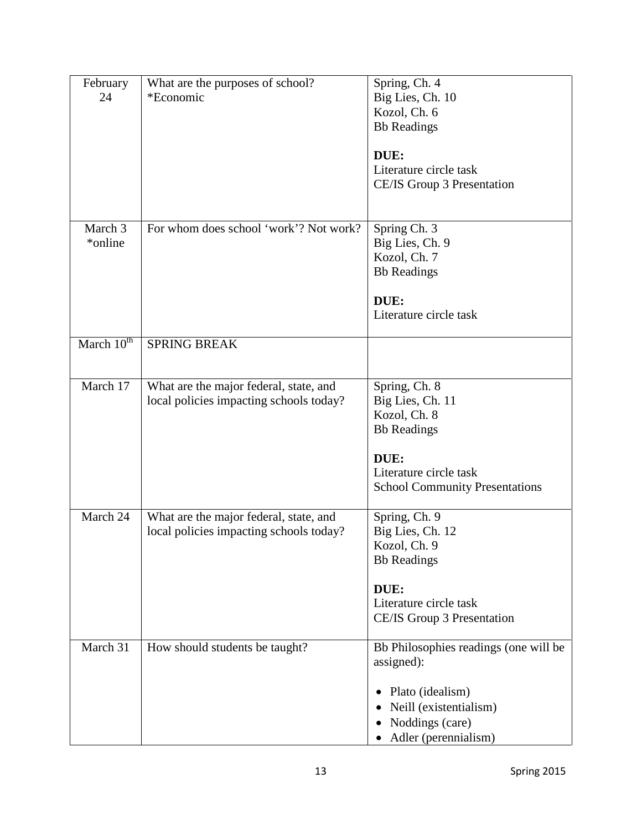| February<br>24      | What are the purposes of school?<br>*Economic                                     | Spring, Ch. 4<br>Big Lies, Ch. 10<br>Kozol, Ch. 6<br><b>Bb</b> Readings                                   |
|---------------------|-----------------------------------------------------------------------------------|-----------------------------------------------------------------------------------------------------------|
|                     |                                                                                   | DUE:<br>Literature circle task<br>CE/IS Group 3 Presentation                                              |
| March 3<br>*online* | For whom does school 'work'? Not work?                                            | Spring Ch. 3<br>Big Lies, Ch. 9<br>Kozol, Ch. 7<br><b>Bb</b> Readings<br>DUE:                             |
|                     |                                                                                   | Literature circle task                                                                                    |
| March $10^{th}$     | <b>SPRING BREAK</b>                                                               |                                                                                                           |
| March 17            | What are the major federal, state, and<br>local policies impacting schools today? | Spring, Ch. 8<br>Big Lies, Ch. 11<br>Kozol, Ch. 8<br><b>Bb</b> Readings<br>DUE:<br>Literature circle task |
|                     |                                                                                   | <b>School Community Presentations</b>                                                                     |
| March 24            | What are the major federal, state, and<br>local policies impacting schools today? | Spring, Ch. 9<br>Big Lies, Ch. 12<br>Kozol, Ch. 9<br><b>Bb</b> Readings<br>DUE:                           |
|                     |                                                                                   | Literature circle task<br>CE/IS Group 3 Presentation                                                      |
| March 31            | How should students be taught?                                                    | Bb Philosophies readings (one will be<br>assigned):                                                       |
|                     |                                                                                   | Plato (idealism)<br>Neill (existentialism)<br>Noddings (care)<br>Adler (perennialism)                     |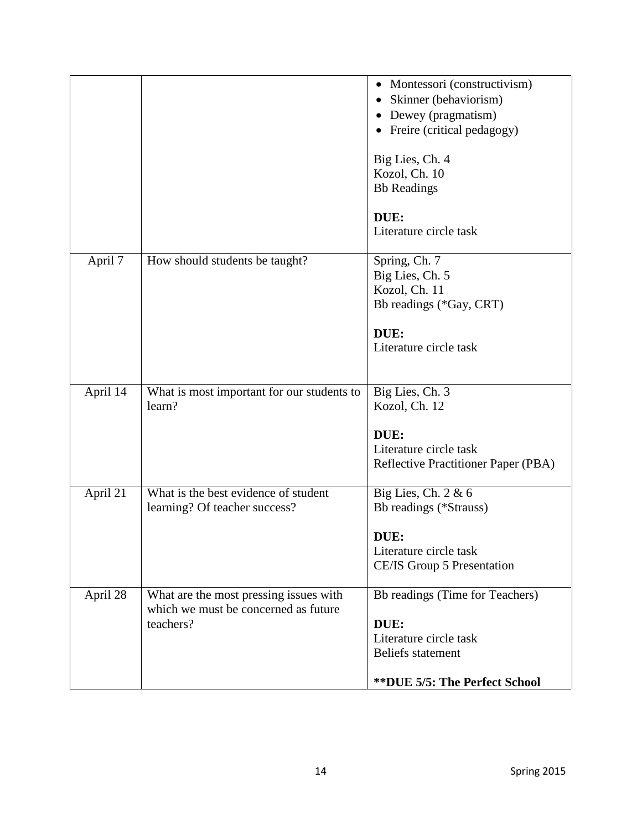|          |                                                                                | • Montessori (constructivism)        |
|----------|--------------------------------------------------------------------------------|--------------------------------------|
|          |                                                                                | Skinner (behaviorism)                |
|          |                                                                                | • Dewey (pragmatism)                 |
|          |                                                                                | • Freire (critical pedagogy)         |
|          |                                                                                |                                      |
|          |                                                                                | Big Lies, Ch. 4                      |
|          |                                                                                | Kozol, Ch. 10                        |
|          |                                                                                | <b>Bb</b> Readings                   |
|          |                                                                                |                                      |
|          |                                                                                | DUE:                                 |
|          |                                                                                | Literature circle task               |
| April 7  | How should students be taught?                                                 | Spring, Ch. 7                        |
|          |                                                                                | Big Lies, Ch. 5                      |
|          |                                                                                | Kozol, Ch. 11                        |
|          |                                                                                | Bb readings (*Gay, CRT)              |
|          |                                                                                |                                      |
|          |                                                                                | DUE:                                 |
|          |                                                                                | Literature circle task               |
|          |                                                                                |                                      |
|          |                                                                                |                                      |
| April 14 | What is most important for our students to                                     | Big Lies, Ch. 3                      |
|          | learn?                                                                         | Kozol, Ch. 12                        |
|          |                                                                                |                                      |
|          |                                                                                | DUE:                                 |
|          |                                                                                | Literature circle task               |
|          |                                                                                | Reflective Practitioner Paper (PBA)  |
| April 21 | What is the best evidence of student                                           | Big Lies, Ch. $2 & 6$                |
|          | learning? Of teacher success?                                                  | Bb readings (*Strauss)               |
|          |                                                                                |                                      |
|          |                                                                                | DUE:                                 |
|          |                                                                                | Literature circle task               |
|          |                                                                                | CE/IS Group 5 Presentation           |
|          |                                                                                | Bb readings (Time for Teachers)      |
| April 28 | What are the most pressing issues with<br>which we must be concerned as future |                                      |
|          | teachers?                                                                      | DUE:                                 |
|          |                                                                                | Literature circle task               |
|          |                                                                                | <b>Beliefs</b> statement             |
|          |                                                                                |                                      |
|          |                                                                                | <b>**DUE 5/5: The Perfect School</b> |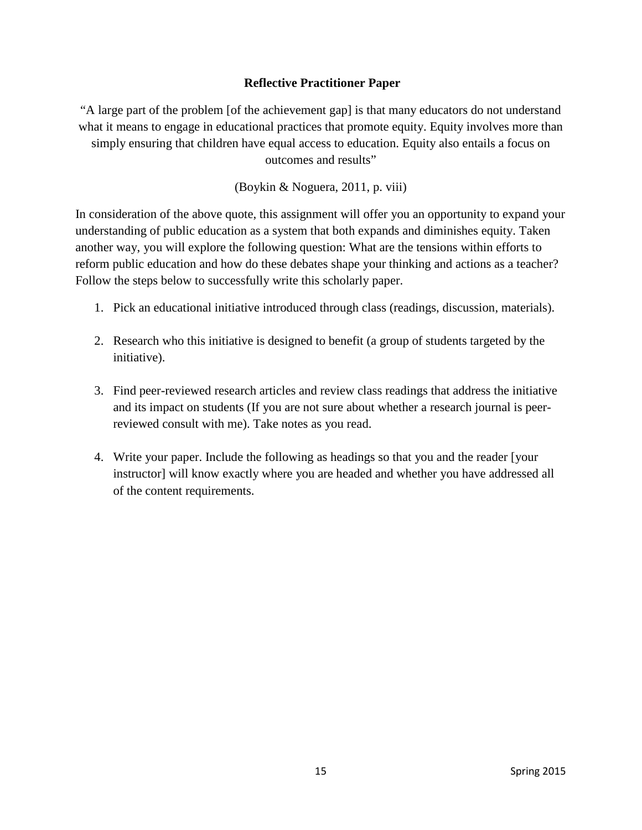## **Reflective Practitioner Paper**

"A large part of the problem [of the achievement gap] is that many educators do not understand what it means to engage in educational practices that promote equity. Equity involves more than simply ensuring that children have equal access to education. Equity also entails a focus on outcomes and results"

(Boykin & Noguera, 2011, p. viii)

In consideration of the above quote, this assignment will offer you an opportunity to expand your understanding of public education as a system that both expands and diminishes equity. Taken another way, you will explore the following question: What are the tensions within efforts to reform public education and how do these debates shape your thinking and actions as a teacher? Follow the steps below to successfully write this scholarly paper.

- 1. Pick an educational initiative introduced through class (readings, discussion, materials).
- 2. Research who this initiative is designed to benefit (a group of students targeted by the initiative).
- 3. Find peer-reviewed research articles and review class readings that address the initiative and its impact on students (If you are not sure about whether a research journal is peerreviewed consult with me). Take notes as you read.
- 4. Write your paper. Include the following as headings so that you and the reader [your instructor] will know exactly where you are headed and whether you have addressed all of the content requirements.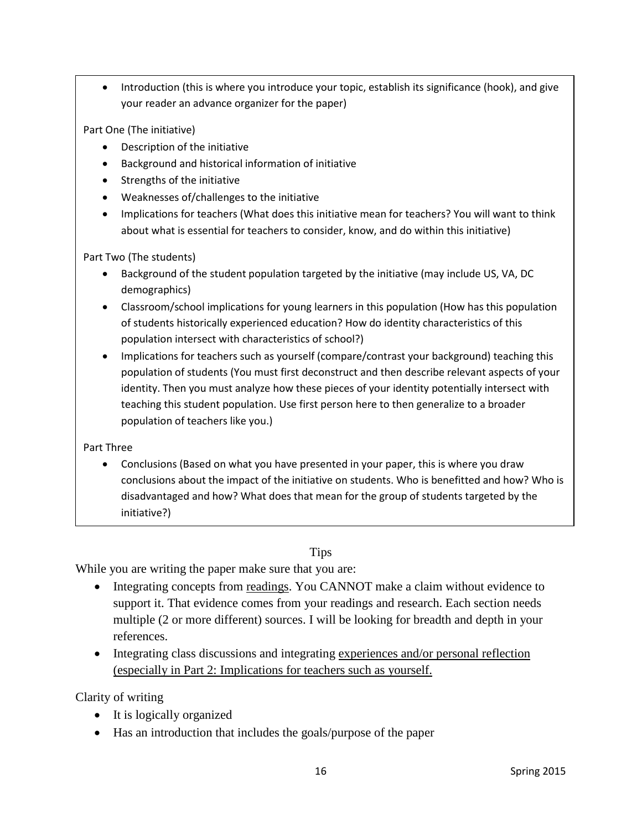• Introduction (this is where you introduce your topic, establish its significance (hook), and give your reader an advance organizer for the paper)

Part One (The initiative)

- Description of the initiative
- Background and historical information of initiative
- Strengths of the initiative
- Weaknesses of/challenges to the initiative
- Implications for teachers (What does this initiative mean for teachers? You will want to think about what is essential for teachers to consider, know, and do within this initiative)

Part Two (The students)

- Background of the student population targeted by the initiative (may include US, VA, DC demographics)
- Classroom/school implications for young learners in this population (How has this population of students historically experienced education? How do identity characteristics of this population intersect with characteristics of school?)
- Implications for teachers such as yourself (compare/contrast your background) teaching this population of students (You must first deconstruct and then describe relevant aspects of your identity. Then you must analyze how these pieces of your identity potentially intersect with teaching this student population. Use first person here to then generalize to a broader population of teachers like you.)

Part Three

• Conclusions (Based on what you have presented in your paper, this is where you draw conclusions about the impact of the initiative on students. Who is benefitted and how? Who is disadvantaged and how? What does that mean for the group of students targeted by the initiative?)

### Tips

While you are writing the paper make sure that you are:

- Integrating concepts from readings. You CANNOT make a claim without evidence to support it. That evidence comes from your readings and research. Each section needs multiple (2 or more different) sources. I will be looking for breadth and depth in your references.
- Integrating class discussions and integrating experiences and/or personal reflection (especially in Part 2: Implications for teachers such as yourself.

Clarity of writing

- It is logically organized
- Has an introduction that includes the goals/purpose of the paper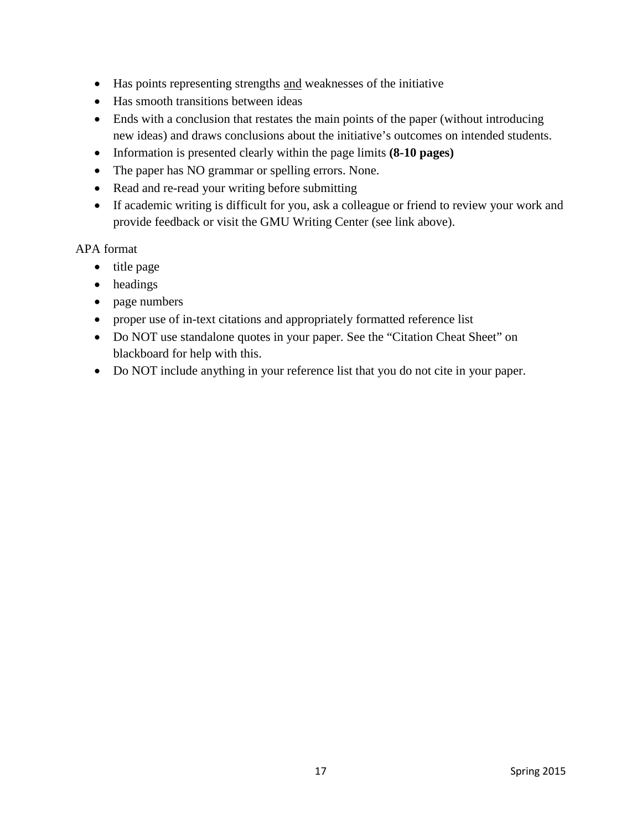- Has points representing strengths and weaknesses of the initiative
- Has smooth transitions between ideas
- Ends with a conclusion that restates the main points of the paper (without introducing new ideas) and draws conclusions about the initiative's outcomes on intended students.
- Information is presented clearly within the page limits **(8-10 pages)**
- The paper has NO grammar or spelling errors. None.
- Read and re-read your writing before submitting
- If academic writing is difficult for you, ask a colleague or friend to review your work and provide feedback or visit the GMU Writing Center (see link above).

APA format

- title page
- headings
- page numbers
- proper use of in-text citations and appropriately formatted reference list
- Do NOT use standalone quotes in your paper. See the "Citation Cheat Sheet" on blackboard for help with this.
- Do NOT include anything in your reference list that you do not cite in your paper.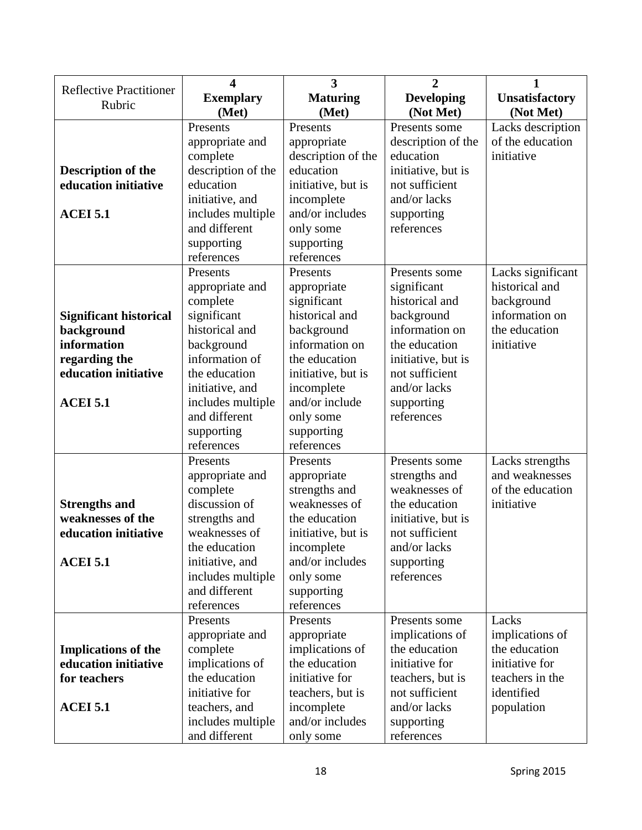|                                       | 4                  | 3                  | $\overline{2}$     | 1                     |
|---------------------------------------|--------------------|--------------------|--------------------|-----------------------|
| <b>Reflective Practitioner</b>        | <b>Exemplary</b>   | <b>Maturing</b>    | <b>Developing</b>  | <b>Unsatisfactory</b> |
| Rubric                                | (Met)              | (Met)              | (Not Met)          | (Not Met)             |
|                                       | Presents           | Presents           | Presents some      | Lacks description     |
|                                       | appropriate and    | appropriate        | description of the | of the education      |
|                                       | complete           | description of the | education          | initiative            |
| <b>Description of the</b>             | description of the | education          | initiative, but is |                       |
| education initiative                  | education          | initiative, but is | not sufficient     |                       |
|                                       | initiative, and    | incomplete         | and/or lacks       |                       |
| <b>ACEI 5.1</b>                       | includes multiple  | and/or includes    | supporting         |                       |
|                                       | and different      | only some          | references         |                       |
|                                       | supporting         | supporting         |                    |                       |
|                                       | references         | references         |                    |                       |
|                                       | Presents           | Presents           | Presents some      | Lacks significant     |
|                                       | appropriate and    | appropriate        | significant        | historical and        |
|                                       | complete           | significant        | historical and     | background            |
| <b>Significant historical</b>         | significant        | historical and     | background         | information on        |
| background                            | historical and     | background         | information on     | the education         |
| information                           | background         | information on     | the education      | initiative            |
|                                       | information of     | the education      | initiative, but is |                       |
| regarding the<br>education initiative | the education      |                    | not sufficient     |                       |
|                                       |                    | initiative, but is | and/or lacks       |                       |
|                                       | initiative, and    | incomplete         |                    |                       |
| <b>ACEI 5.1</b>                       | includes multiple  | and/or include     | supporting         |                       |
|                                       | and different      | only some          | references         |                       |
|                                       | supporting         | supporting         |                    |                       |
|                                       | references         | references         |                    |                       |
|                                       | Presents           | Presents           | Presents some      | Lacks strengths       |
|                                       | appropriate and    | appropriate        | strengths and      | and weaknesses        |
|                                       | complete           | strengths and      | weaknesses of      | of the education      |
| <b>Strengths and</b>                  | discussion of      | weaknesses of      | the education      | initiative            |
| weaknesses of the                     | strengths and      | the education      | initiative, but is |                       |
| education initiative                  | weaknesses of      | initiative, but is | not sufficient     |                       |
|                                       | the education      | incomplete         | and/or lacks       |                       |
| <b>ACEI 5.1</b>                       | initiative, and    | and/or includes    | supporting         |                       |
|                                       | includes multiple  | only some          | references         |                       |
|                                       | and different      | supporting         |                    |                       |
|                                       | references         | references         |                    |                       |
|                                       | Presents           | Presents           | Presents some      | Lacks                 |
|                                       | appropriate and    | appropriate        | implications of    | implications of       |
| <b>Implications of the</b>            | complete           | implications of    | the education      | the education         |
| education initiative                  | implications of    | the education      | initiative for     | initiative for        |
| for teachers                          | the education      | initiative for     | teachers, but is   | teachers in the       |
|                                       | initiative for     | teachers, but is   | not sufficient     | identified            |
| <b>ACEI 5.1</b>                       | teachers, and      | incomplete         | and/or lacks       | population            |
|                                       | includes multiple  | and/or includes    | supporting         |                       |
|                                       | and different      | only some          | references         |                       |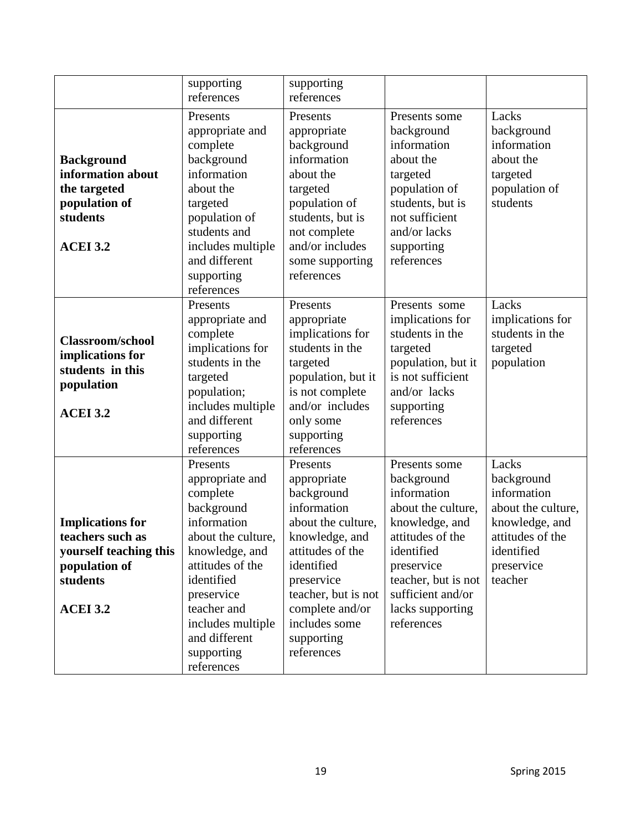|                         | supporting         | supporting          |                                          |                    |
|-------------------------|--------------------|---------------------|------------------------------------------|--------------------|
|                         | references         | references          |                                          |                    |
|                         | Presents           | Presents            |                                          | Lacks              |
|                         |                    |                     | Presents some                            |                    |
|                         | appropriate and    | appropriate         | background                               | background         |
|                         | complete           | background          | information                              | information        |
| <b>Background</b>       | background         | information         | about the                                | about the          |
| information about       | information        | about the           | targeted                                 | targeted           |
| the targeted            | about the          | targeted            | population of                            | population of      |
| population of           | targeted           | population of       | students, but is                         | students           |
| students                | population of      | students, but is    | not sufficient                           |                    |
|                         | students and       | not complete        | and/or lacks                             |                    |
| <b>ACEI 3.2</b>         | includes multiple  | and/or includes     | supporting                               |                    |
|                         | and different      | some supporting     | references                               |                    |
|                         | supporting         | references          |                                          |                    |
|                         | references         |                     |                                          |                    |
|                         | Presents           | Presents            | Presents some                            | Lacks              |
|                         | appropriate and    | appropriate         | implications for                         | implications for   |
|                         | complete           | implications for    | students in the                          | students in the    |
| <b>Classroom/school</b> | implications for   | students in the     | targeted                                 | targeted           |
| implications for        | students in the    | targeted            | population, but it                       | population         |
| students in this        | targeted           | population, but it  | is not sufficient                        |                    |
| population              | population;        | is not complete     | and/or lacks                             |                    |
|                         | includes multiple  | and/or includes     | supporting                               |                    |
| <b>ACEI 3.2</b>         | and different      | only some           | references                               |                    |
|                         | supporting         | supporting          |                                          |                    |
|                         | references         | references          |                                          |                    |
|                         | Presents           | Presents            | Presents some                            | Lacks              |
|                         | appropriate and    | appropriate         | background                               | background         |
|                         | complete           | background          | information                              | information        |
|                         | background         | information         | about the culture,                       | about the culture, |
| <b>Implications for</b> | information        | about the culture,  | knowledge, and                           | knowledge, and     |
| teachers such as        | about the culture, | knowledge, and      | attitudes of the                         | attitudes of the   |
| yourself teaching this  | knowledge, and     | attitudes of the    | identified                               | identified         |
| population of           | attitudes of the   | identified          |                                          | preservice         |
|                         |                    |                     | preservice                               |                    |
| students                | identified         | preservice          | teacher, but is not<br>sufficient and/or | teacher            |
|                         | preservice         | teacher, but is not |                                          |                    |
| <b>ACEI 3.2</b>         | teacher and        | complete and/or     | lacks supporting                         |                    |
|                         | includes multiple  | includes some       | references                               |                    |
|                         | and different      | supporting          |                                          |                    |
|                         | supporting         | references          |                                          |                    |
|                         | references         |                     |                                          |                    |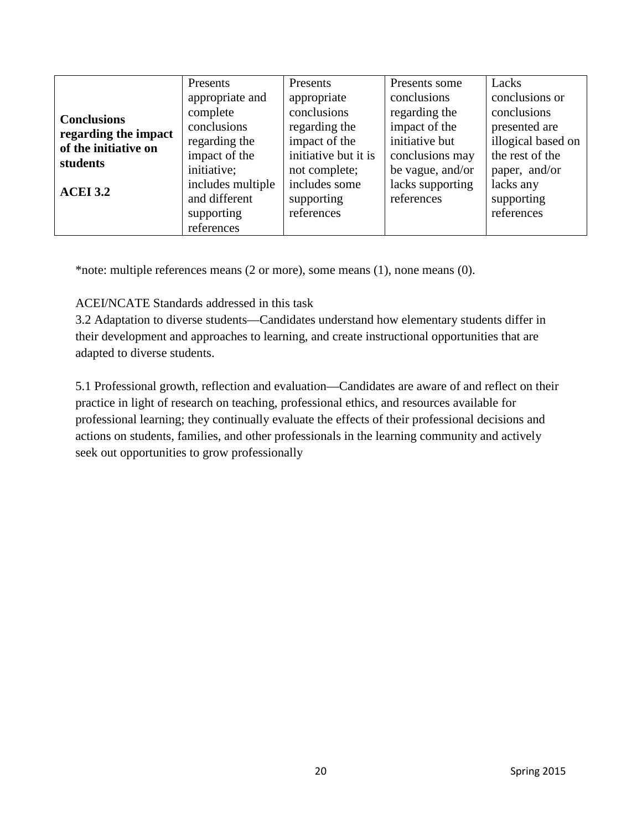|                      | Presents          | Presents             | Presents some    | Lacks              |
|----------------------|-------------------|----------------------|------------------|--------------------|
|                      | appropriate and   | appropriate          | conclusions      | conclusions or     |
| <b>Conclusions</b>   | complete          | conclusions          | regarding the    | conclusions        |
| regarding the impact | conclusions       | regarding the        | impact of the    | presented are      |
| of the initiative on | regarding the     | impact of the        | initiative but   | illogical based on |
| students             | impact of the     | initiative but it is | conclusions may  | the rest of the    |
|                      | initiative;       | not complete;        | be vague, and/or | paper, and/or      |
|                      | includes multiple | includes some        | lacks supporting | lacks any          |
| <b>ACEI 3.2</b>      | and different     | supporting           | references       | supporting         |
|                      | supporting        | references           |                  | references         |
|                      | references        |                      |                  |                    |

\*note: multiple references means (2 or more), some means (1), none means (0).

ACEI/NCATE Standards addressed in this task

3.2 Adaptation to diverse students—Candidates understand how elementary students differ in their development and approaches to learning, and create instructional opportunities that are adapted to diverse students.

5.1 Professional growth, reflection and evaluation—Candidates are aware of and reflect on their practice in light of research on teaching, professional ethics, and resources available for professional learning; they continually evaluate the effects of their professional decisions and actions on students, families, and other professionals in the learning community and actively seek out opportunities to grow professionally